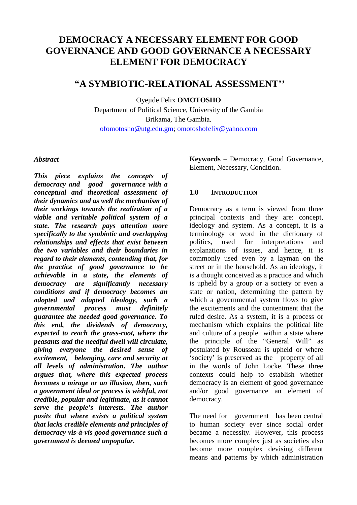# **DEMOCRACY A NECESSARY ELEMENT FOR GOOD GOVERNANCE AND GOOD GOVERNANCE A NECESSARY ELEMENT FOR DEMOCRACY**

# **"A SYMBIOTIC-RELATIONAL ASSESSMENT''**

Oyejide Felix **OMOTOSHO**

Department of Political Science, University of the Gambia Brikama, The Gambia. ofomotosho@utg.edu.gm; omotoshofelix@yahoo.com

#### *Abstract*

*This piece explains the concepts of democracy and good governance with a conceptual and theoretical assessment of their dynamics and as well the mechanism of their workings towards the realization of a viable and veritable political system of a state. The research pays attention more specifically to the symbiotic and overlapping relationships and effects that exist between the two variables and their boundaries in regard to their elements, contending that, for the practice of good governance to be achievable in a state, the elements of democracy are significantly necessary conditions and if democracy becomes an adopted and adapted ideology, such a governmental process must definitely guarantee the needed good governance. To this end, the dividends of democracy, expected to reach the grass-root, where the peasants and the needful dwell will circulate, giving everyone the desired sense of excitement, belonging, care and security at all levels of administration. The author argues that, where this expected process becomes a mirage or an illusion, then, such a government ideal or process is wishful, not credible, popular and legitimate, as it cannot serve the people's interests. The author posits that where exists a political system that lacks credible elements and principles of democracy vis-à-vis good governance such a government is deemed unpopular.* 

**Keywords** – Democracy, Good Governance, Element, Necessary, Condition.

#### **1.0 INTRODUCTION**

Democracy as a term is viewed from three principal contexts and they are: concept, ideology and system. As a concept, it is a terminology or word in the dictionary of politics, used for interpretations and explanations of issues, and hence, it is commonly used even by a layman on the street or in the household. As an ideology, it is a thought conceived as a practice and which is upheld by a group or a society or even a state or nation, determining the pattern by which a governmental system flows to give the excitements and the contentment that the ruled desire. As a system, it is a process or mechanism which explains the political life and culture of a people within a state where the principle of the "General Will" as postulated by Rousseau is upheld or where 'society' is preserved as the property of all in the words of John Locke. These three contexts could help to establish whether democracy is an element of good governance and/or good governance an element of democracy.

The need for government has been central to human society ever since social order became a necessity. However, this process becomes more complex just as societies also become more complex devising different means and patterns by which administration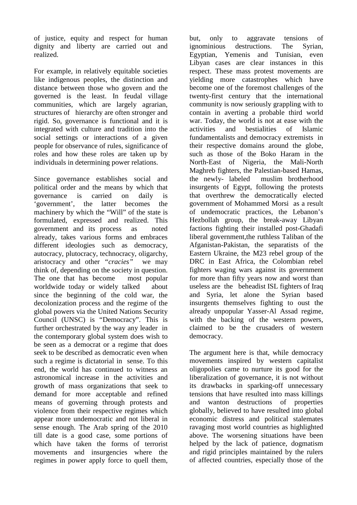of justice, equity and respect for human dignity and liberty are carried out and realized.

For example, in relatively equitable societies like indigenous peoples, the distinction and distance between those who govern and the governed is the least. In feudal village communities, which are largely agrarian, structures of hierarchy are often stronger and rigid. So, governance is functional and it is integrated with culture and tradition into the social settings or interactions of a given people for observance of rules, significance of roles and how these roles are taken up by individuals in determining power relations.

Since governance establishes social and political order and the means by which that governance is carried on daily is 'government', the latter becomes the machinery by which the "Will" of the state is formulated, expressed and realized. This government and its process as noted already, takes various forms and embraces different ideologies such as democracy, autocracy, plutocracy, technocracy, oligarchy, aristocracy and other *"cracies"* we may think of, depending on the society in question. The one that has become most popular worldwide today or widely talked about since the beginning of the cold war, the decolonization process and the regime of the global powers via the United Nations Security Council (UNSC) is "Democracy". This is further orchestrated by the way any leader in the contemporary global system does wish to be seen as a democrat or a regime that does seek to be described as democratic even when such a regime is dictatorial in sense. To this end, the world has continued to witness an astronomical increase in the activities and growth of mass organizations that seek to demand for more acceptable and refined means of governing through protests and violence from their respective regimes which appear more undemocratic and not liberal in sense enough. The Arab spring of the 2010 till date is a good case, some portions of which have taken the forms of terrorist movements and insurgencies where the regimes in power apply force to quell them,

but, only to aggravate tensions of ignominious destructions. The Syrian, Egyptian, Yemenis and Tunisian, even Libyan cases are clear instances in this respect. These mass protest movements are yielding more catastrophes which have become one of the foremost challenges of the twenty-first century that the international community is now seriously grappling with to contain in averting a probable third world war. Today, the world is not at ease with the activities and bestialities of Islamic fundamentalists and democracy extremists in their respective domains around the globe, such as those of the Boko Haram in the North-East of Nigeria, the Mali-North Maghreb fighters, the Palestian-based Hamas, the newly- labeled muslim brotherhood insurgents of Egypt, following the protests that overthrew the democratically elected government of Mohammed Morsi as a result of undemocratic practices, the Lebanon's Hezbollah group, the break-away Libyan factions fighting their installed post-Ghadafi liberal government,the ruthless Taliban of the Afganistan-Pakistan, the separatists of the Eastern Ukraine, the M23 rebel group of the DRC in East Africa, the Colombian rebel fighters waging wars against its government for more than fifty years now and worst than useless are the beheadist ISL fighters of Iraq and Syria, let alone the Syrian based insurgents themselves fighting to oust the already unpopular Yasser-Al Assad regime, with the backing of the western powers, claimed to be the crusaders of western democracy.

The argument here is that, while democracy movements inspired by western capitalist oligopolies came to nurture its good for the liberalization of governance, it is not without its drawbacks in sparking-off unnecessary tensions that have resulted into mass killings and wanton destructions of properties globally, believed to have resulted into global economic distress and political stalemates ravaging most world countries as highlighted above. The worsening situations have been helped by the lack of patience, dogmatism and rigid principles maintained by the rulers of affected countries, especially those of the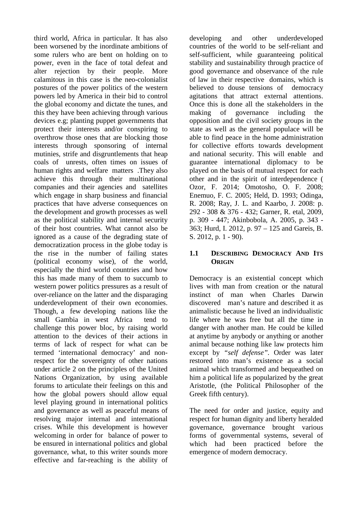third world, Africa in particular. It has also been worsened by the inordinate ambitions of some rulers who are bent on holding on to power, even in the face of total defeat and alter rejection by their people. More calamitous in this case is the neo-colonialist postures of the power politics of the western powers led by America in their bid to control the global economy and dictate the tunes, and this they have been achieving through various devices e.g; planting puppet governments that protect their interests and/or conspiring to overthrow those ones that are blocking those interests through sponsoring of internal mutinies, strife and disgruntlements that heap coals of unrests, often times on issues of human rights and welfare matters .They also achieve this through their multinational companies and their agencies and satellites which engage in sharp business and financial practices that have adverse consequences on the development and growth processes as well as the political stability and internal security of their host countries. What cannot also be ignored as a cause of the degrading state of democratization process in the globe today is the rise in the number of failing states (political economy wise), of the world, especially the third world countries and how this has made many of them to succumb to western power politics pressures as a result of over-reliance on the latter and the disparaging underdevelopment of their own economies. Though, a few developing nations like the small Gambia in west Africa tend to challenge this power bloc, by raising world attention to the devices of their actions in terms of lack of respect for what can be termed 'international democracy' and nonrespect for the sovereignty of other nations under article 2 on the principles of the United Nations Organization, by using available forums to articulate their feelings on this and how the global powers should allow equal level playing ground in international politics and governance as well as peaceful means of resolving major internal and international crises. While this development is however welcoming in order for balance of power to be ensured in international politics and global governance, what, to this writer sounds more effective and far-reaching is the ability of

developing and other underdeveloped countries of the world to be self-reliant and self-sufficient, while guaranteeing political stability and sustainability through practice of good governance and observance of the rule of law in their respective domains, which is believed to douse tensions of democracy agitations that attract external attentions. Once this is done all the stakeholders in the making of governance including the opposition and the civil society groups in the state as well as the general populace will be able to find peace in the home administration for collective efforts towards development and national security. This will enable and guarantee international diplomacy to be played on the basis of mutual respect for each other and in the spirit of interdependence ( Ozor, F. 2014; Omotosho, O. F. 2008; Enemuo, F. C. 2005; Held, D. 1993; Odinga, R. 2008; Ray, J. L. and Kaarbo, J. 2008: p. 292 - 308 & 376 - 432; Garner, R. etal, 2009, p. 309 - 447; Akinbobola, A. 2005, p. 343 - 363; Hurd, I. 2012, p. 97 – 125 and Gareis, B. S. 2012, p. 1 - 90).

## **1.1 DESCRIBING DEMOCRACY AND ITS ORIGIN**

Democracy is an existential concept which lives with man from creation or the natural instinct of man when Charles Darwin discovered man's nature and described it as animalistic because he lived an individualistic life where he was free but all the time in danger with another man. He could be killed at anytime by anybody or anything or another animal because nothing like law protects him except by *"self defense".* Order was later restored into man's existence as a social animal which transformed and bequeathed on him a political life as popularized by the great Aristotle, (the Political Philosopher of the Greek fifth century).

The need for order and justice, equity and respect for human dignity and liberty heralded governance, governance brought various forms of governmental systems, several of which had been practiced before the emergence of modern democracy.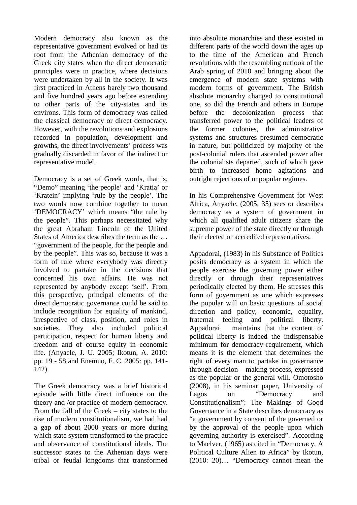Modern democracy also known as the representative government evolved or had its root from the Athenian democracy of the Greek city states when the direct democratic principles were in practice, where decisions were undertaken by all in the society. It was first practiced in Athens barely two thousand and five hundred years ago before extending to other parts of the city-states and its environs. This form of democracy was called the classical democracy or direct democracy. However, with the revolutions and explosions recorded in population, development and growths, the direct involvements' process was gradually discarded in favor of the indirect or representative model.

Democracy is a set of Greek words, that is, "Demo" meaning 'the people' and 'Kratia' or 'Kratein' implying 'rule by the people'. The two words now combine together to mean 'DEMOCRACY' which means "the rule by the people". This perhaps necessitated why the great Abraham Lincoln of the United States of America describes the term as the … "government of the people, for the people and by the people". This was so, because it was a form of rule where everybody was directly involved to partake in the decisions that concerned his own affairs. He was not represented by anybody except 'self'. From this perspective, principal elements of the direct democratic governance could be said to include recognition for equality of mankind, irrespective of class, position, and roles in societies. They also included political participation, respect for human liberty and freedom and of course equity in economic life. (Anyaele, J. U. 2005; Ikotun, A. 2010: pp. 19 - 58 and Enemuo, F. C. 2005: pp. 141- 142).

The Greek democracy was a brief historical episode with little direct influence on the theory and /or practice of modern democracy. From the fall of the Greek – city states to the rise of modern constitutionalism, we had had a gap of about 2000 years or more during which state system transformed to the practice and observance of constitutional ideals. The successor states to the Athenian days were tribal or feudal kingdoms that transformed into absolute monarchies and these existed in different parts of the world down the ages up to the time of the American and French revolutions with the resembling outlook of the Arab spring of 2010 and bringing about the emergence of modern state systems with modern forms of government. The British absolute monarchy changed to constitutional one, so did the French and others in Europe before the decolonization process that transferred power to the political leaders of the former colonies, the administrative systems and structures presumed democratic in nature, but politicized by majority of the post-colonial rulers that ascended power after the colonialists departed, such of which gave birth to increased home agitations and outright rejections of unpopular regimes.

In his Comprehensive Government for West Africa, Anyaele, (2005; 35) sees or describes democracy as a system of government in which all qualified adult citizens share the supreme power of the state directly or through their elected or accredited representatives.

Appadorai, (1983) in his Substance of Politics posits democracy as a system in which the people exercise the governing power either directly or through their representatives periodically elected by them. He stresses this form of government as one which expresses the popular will on basic questions of social direction and policy, economic, equality, fraternal feeling and political liberty. Appadorai maintains that the content of political liberty is indeed the indispensable minimum for democracy requirement, which means it is the element that determines the right of every man to partake in governance through decision – making process, expressed as the popular or the general will. Omotosho (2008), in his seminar paper, University of Lagos on "Democracy and Constitutionalism": The Makings of Good Governance in a State describes democracy as "a government by consent of the governed or by the approval of the people upon which governing authority is exercised". According to Maclver, (1965) as cited in "Democracy, A Political Culture Alien to Africa" by Ikotun, (2010: 20)… "Democracy cannot mean the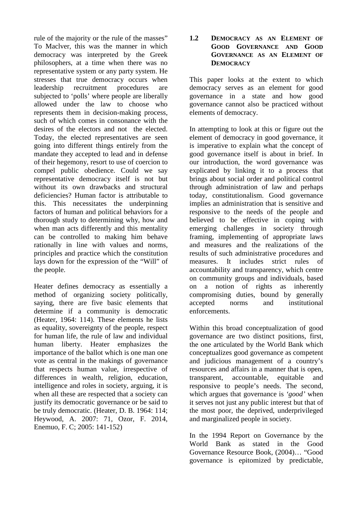rule of the majority or the rule of the masses" To Maclver, this was the manner in which democracy was interpreted by the Greek philosophers, at a time when there was no representative system or any party system. He stresses that true democracy occurs when leadership recruitment procedures are subjected to 'polls' where people are liberally allowed under the law to choose who represents them in decision-making process, such of which comes in consonance with the desires of the electors and not the elected. Today, the elected representatives are seen going into different things entirely from the mandate they accepted to lead and in defense of their hegemony, resort to use of coercion to compel public obedience. Could we say representative democracy itself is not but without its own drawbacks and structural deficiencies? Human factor is attributable to this. This necessitates the underpinning factors of human and political behaviors for a thorough study to determining why, how and when man acts differently and this mentality can be controlled to making him behave rationally in line with values and norms, principles and practice which the constitution lays down for the expression of the "Will" of the people.

Heater defines democracy as essentially a method of organizing society politically, saying, there are five basic elements that determine if a community is democratic (Heater, 1964: 114). These elements he lists as equality, sovereignty of the people, respect for human life, the rule of law and individual human liberty. Heater emphasizes the importance of the ballot which is one man one vote as central in the makings of governance that respects human value, irrespective of differences in wealth, religion, education, intelligence and roles in society, arguing, it is when all these are respected that a society can justify its democratic governance or be said to be truly democratic. (Heater, D. B. 1964: 114; Heywood, A. 2007: 71, Ozor, F. 2014, Enemuo, F. C; 2005: 141-152)

#### **1.2 DEMOCRACY AS AN ELEMENT OF GOOD GOVERNANCE AND GOOD GOVERNANCE AS AN ELEMENT OF DEMOCRACY**

This paper looks at the extent to which democracy serves as an element for good governance in a state and how good governance cannot also be practiced without elements of democracy.

In attempting to look at this or figure out the element of democracy in good governance, it is imperative to explain what the concept of good governance itself is about in brief. In our introduction, the word governance was explicated by linking it to a process that brings about social order and political control through administration of law and perhaps today, constitutionalism. Good governance implies an administration that is sensitive and responsive to the needs of the people and believed to be effective in coping with emerging challenges in society through framing, implementing of appropriate laws and measures and the realizations of the results of such administrative procedures and measures. It includes strict rules of accountability and transparency, which centre on community groups and individuals, based on a notion of rights as inherently compromising duties, bound by generally accepted norms and institutional enforcements.

Within this broad conceptualization of good governance are two distinct positions, first, the one articulated by the World Bank which conceptualizes good governance as competent and judicious management of a country's resources and affairs in a manner that is open, transparent, accountable, equitable and responsive to people's needs. The second, which argues that governance is *'good'* when it serves not just any public interest but that of the most poor, the deprived, underprivileged and marginalized people in society.

In the 1994 Report on Governance by the World Bank as stated in the Good Governance Resource Book, (2004)… "Good governance is epitomized by predictable,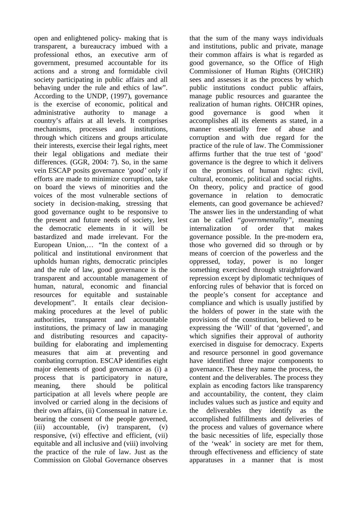open and enlightened policy- making that is transparent, a bureaucracy imbued with a professional ethos, an executive arm of government, presumed accountable for its actions and a strong and formidable civil society participating in public affairs and all behaving under the rule and ethics of law". According to the UNDP, (1997), governance is the exercise of economic, political and administrative authority to manage a country's affairs at all levels. It comprises mechanisms, processes and institutions, through which citizens and groups articulate their interests, exercise their legal rights, meet their legal obligations and mediate their differences. (GGR, 2004: 7). So, in the same vein ESCAP posits governance *'good'* only if efforts are made to minimize corruption, take on board the views of minorities and the voices of the most vulnerable sections of society in decision-making, stressing that good governance ought to be responsive to the present and future needs of society, lest the democratic elements in it will be bastardized and made irrelevant. For the European Union,… "In the context of a political and institutional environment that upholds human rights, democratic principles and the rule of law, good governance is the transparent and accountable management of human, natural, economic and financial resources for equitable and sustainable development". It entails clear decisionmaking procedures at the level of public authorities, transparent and accountable institutions, the primacy of law in managing and distributing resources and capacitybuilding for elaborating and implementing measures that aim at preventing and combating corruption. ESCAP identifies eight major elements of good governance as (i) a process that is participatory in nature, meaning, there should be political participation at all levels where people are involved or carried along in the decisions of their own affairs, (ii) Consensual in nature i.e. bearing the consent of the people governed, (iii) accountable, (iv) transparent, (v) responsive, (vi) effective and efficient, (vii) equitable and all inclusive and (viii) involving the practice of the rule of law. Just as the Commission on Global Governance observes

that the sum of the many ways individuals and institutions, public and private, manage their common affairs is what is regarded as good governance, so the Office of High Commissioner of Human Rights (OHCHR) sees and assesses it as the process by which public institutions conduct public affairs, manage public resources and guarantee the realization of human rights. OHCHR opines, good governance is good when it accomplishes all its elements as stated, in a manner essentially free of abuse and corruption and with due regard for the practice of the rule of law. The Commissioner affirms further that the true test of 'good' governance is the degree to which it delivers on the promises of human rights: civil, cultural, economic, political and social rights. On theory, policy and practice of good governance in relation to democratic elements, can good governance be achieved? The answer lies in the understanding of what can be called *"governmentality",* meaning internalization of order that makes governance possible. In the pre-modern era, those who governed did so through or by means of coercion of the powerless and the oppressed, today, power is no longer something exercised through straightforward repression except by diplomatic techniques of enforcing rules of behavior that is forced on the people's consent for acceptance and compliance and which is usually justified by the holders of power in the state with the provisions of the constitution, believed to be expressing the 'Will' of that 'governed', and which signifies their approval of authority exercised in disguise for democracy. Experts and resource personnel in good governance have identified three major components to governance. These they name the process, the content and the deliverables. The process they explain as encoding factors like transparency and accountability, the content, they claim includes values such as justice and equity and the deliverables they identify as the accomplished fulfillments and deliveries of the process and values of governance where the basic necessities of life, especially those of the 'weak' in society are met for them, through effectiveness and efficiency of state apparatuses in a manner that is most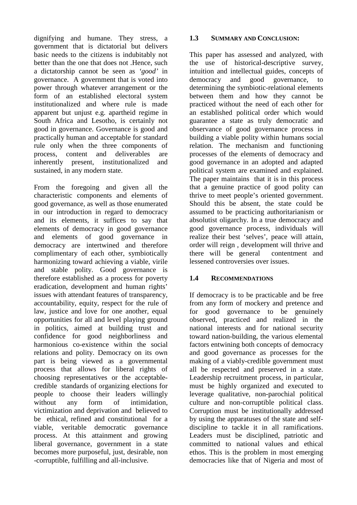dignifying and humane. They stress, a government that is dictatorial but delivers basic needs to the citizens is indubitably not better than the one that does not .Hence, such a dictatorship cannot be seen as *'good'* in governance. A government that is voted into power through whatever arrangement or the form of an established electoral system institutionalized and where rule is made apparent but unjust e.g. apartheid regime in South Africa and Lesotho, is certainly not good in governance. Governance is good and practically human and acceptable for standard rule only when the three components of process, content and deliverables are inherently present, institutionalized and sustained, in any modern state.

From the foregoing and given all the characteristic components and elements of good governance, as well as those enumerated in our introduction in regard to democracy and its elements, it suffices to say that elements of democracy in good governance and elements of good governance in democracy are intertwined and therefore complimentary of each other, symbiotically harmonizing toward achieving a viable, virile and stable polity. Good governance is therefore established as a process for poverty eradication, development and human rights' issues with attendant features of transparency, accountability, equity, respect for the rule of law, justice and love for one another, equal opportunities for all and level playing ground in politics, aimed at building trust and confidence for good neighborliness and harmonious co-existence within the social relations and polity. Democracy on its own part is being viewed as a governmental process that allows for liberal rights of choosing representatives or the acceptablecredible standards of organizing elections for people to choose their leaders willingly without any form of intimidation. victimization and deprivation and believed to be ethical, refined and constitutional for a viable, veritable democratic governance process. At this attainment and growing liberal governance, government in a state becomes more purposeful, just, desirable, non -corruptible, fulfilling and all-inclusive.

#### **1.3 SUMMARY AND CONCLUSION:**

This paper has assessed and analyzed, with the use of historical-descriptive survey, intuition and intellectual guides, concepts of democracy and good governance, to determining the symbiotic-relational elements between them and how they cannot be practiced without the need of each other for an established political order which would guarantee a state as truly democratic and observance of good governance process in building a viable polity within humans social relation. The mechanism and functioning processes of the elements of democracy and good governance in an adopted and adapted political system are examined and explained. The paper maintains that it is in this process that a genuine practice of good polity can thrive to meet people's oriented government. Should this be absent, the state could be assumed to be practicing authoritarianism or absolutist oligarchy. In a true democracy and good governance process, individuals will realize their best 'selves', peace will attain, order will reign , development will thrive and there will be general contentment and lessened controversies over issues.

## **1.4 RECOMMENDATIONS**

If democracy is to be practicable and be free from any form of mockery and pretence and for good governance to be genuinely observed, practiced and realized in the national interests and for national security toward nation-building, the various elemental factors entwining both concepts of democracy and good governance as processes for the making of a viably-credible government must all be respected and preserved in a state. Leadership recruitment process, in particular, must be highly organized and executed to leverage qualitative, non-parochial political culture and non-corruptible political class. Corruption must be institutionally addressed by using the apparatuses of the state and selfdiscipline to tackle it in all ramifications. Leaders must be disciplined, patriotic and committed to national values and ethical ethos. This is the problem in most emerging democracies like that of Nigeria and most of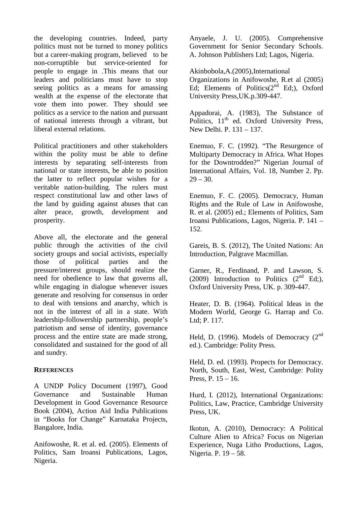the developing countries. Indeed, party politics must not be turned to money politics but a career-making program, believed to be non-corruptible but service-oriented for people to engage in .This means that our leaders and politicians must have to stop seeing politics as a means for amassing wealth at the expense of the electorate that vote them into power. They should see politics as a service to the nation and pursuant of national interests through a vibrant, but liberal external relations.

Political practitioners and other stakeholders within the polity must be able to define interests by separating self-interests from national or state interests, be able to position the latter to reflect popular wishes for a veritable nation-building. The rulers must respect constitutional law and other laws of the land by guiding against abuses that can alter peace, growth, development and prosperity.

Above all, the electorate and the general public through the activities of the civil society groups and social activists, especially those of political parties and the pressure/interest groups, should realize the need for obedience to law that governs all, while engaging in dialogue whenever issues generate and resolving for consensus in order to deal with tensions and anarchy, which is not in the interest of all in a state. With leadership-followership partnership, people's patriotism and sense of identity, governance process and the entire state are made strong, consolidated and sustained for the good of all and sundry.

#### **REFERENCES**

A UNDP Policy Document (1997), Good Governance and Sustainable Human Development in Good Governance Resource Book (2004), Action Aid India Publications in "Books for Change" Karnataka Projects, Bangalore, India.

Anifowoshe, R. et al. ed. (2005). Elements of Politics, Sam Iroansi Publications, Lagos, Nigeria.

Anyaele, J. U. (2005). Comprehensive Government for Senior Secondary Schools. A. Johnson Publishers Ltd; Lagos, Nigeria.

Akinbobola,A.(2005),International Organizations in Anifowoshe, R.et al (2005) Ed; Elements of Politics $(2^{nd}$  Ed;), Oxford University Press,UK.p.309-447.

Appadorai, A. (1983), The Substance of Politics, 11<sup>th</sup> ed. Oxford University Press, New Delhi. P. 131 – 137.

Enemuo, F. C. (1992). "The Resurgence of Multiparty Democracy in Africa. What Hopes for the Downtrodden?" Nigerian Journal of International Affairs, Vol. 18, Number 2. Pp.  $29 - 30.$ 

Enemuo, F. C. (2005). Democracy, Human Rights and the Rule of Law in Anifowoshe, R. et al. (2005) ed.; Elements of Politics, Sam Iroansi Publications, Lagos, Nigeria. P. 141 – 152.

Gareis, B. S. (2012), The United Nations: An Introduction, Palgrave Macmillan.

Garner, R., Ferdinand, P. and Lawson, S. (2009) Introduction to Politics  $(2^{nd} Ed;),$ Oxford University Press, UK. p. 309-447.

Heater, D. B. (1964). Political Ideas in the Modern World, George G. Harrap and Co. Ltd; P. 117.

Held, D. (1996). Models of Democracy  $(2^{nd}$ ed.). Cambridge: Polity Press.

Held, D. ed. (1993). Propects for Democracy. North, South, East, West, Cambridge: Polity Press, P. 15 – 16.

Hurd, I. (2012), International Organizations: Politics, Law, Practice, Cambridge University Press, UK.

Ikotun, A. (2010), Democracy: A Political Culture Alien to Africa? Focus on Nigerian Experience, Nuga Litho Productions, Lagos, Nigeria. P. 19 – 58.